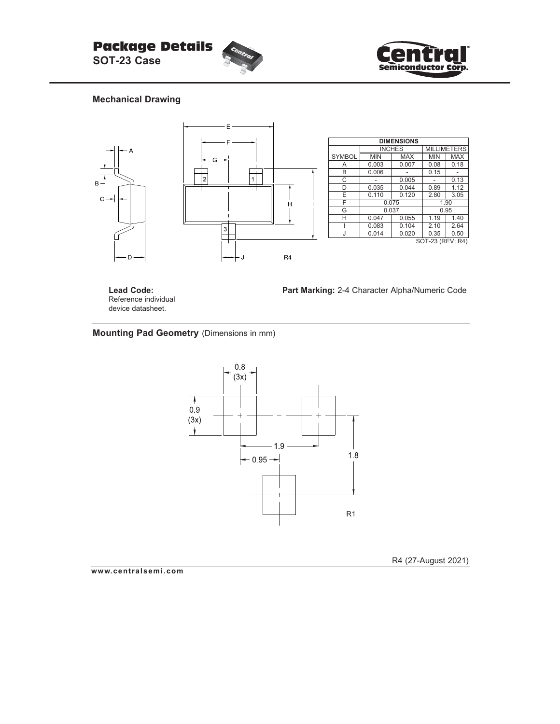



## **Mechanical Drawing**



**Lead Code:** Reference individual device datasheet.

**Part Marking:** 2-4 Character Alpha/Numeric Code

# **Mounting Pad Geometry** (Dimensions in mm)



R4 (27-August 2021)

**www.centralsemi.com**